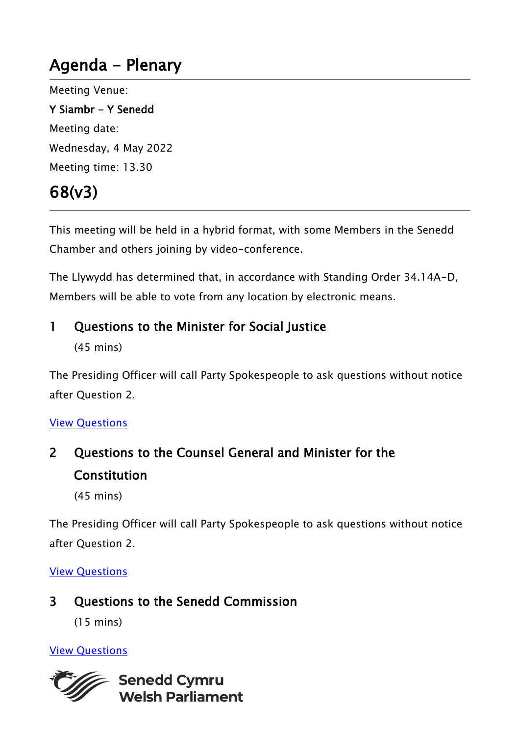# Agenda - Plenary

Meeting Venue: Y Siambr - Y Senedd

Meeting date: Wednesday, 4 May 2022 Meeting time: 13.30

# 68(v3)

This meeting will be held in a hybrid format, with some Members in the Senedd Chamber and others joining by video-conference.

The Llywydd has determined that, in accordance with Standing Order 34.14A-D, Members will be able to vote from any location by electronic means.

# 1 Questions to the Minister for Social Justice

(45 mins)

The Presiding Officer will call Party Spokespeople to ask questions without notice after Question 2.

#### [View Questions](https://record.assembly.wales/OrderPaper/OralQuestions/04-05-2022/)

2 Questions to the Counsel General and Minister for the Constitution

(45 mins)

The Presiding Officer will call Party Spokespeople to ask questions without notice after Question 2.

#### [View Questions](https://record.senedd.wales/OrderPaper/OralQuestions/04-05-2022/)

3 Questions to the Senedd Commission

(15 mins)

## [View Questions](https://record.senedd.wales/OrderPaper/OralQuestions/04-05-2022/)

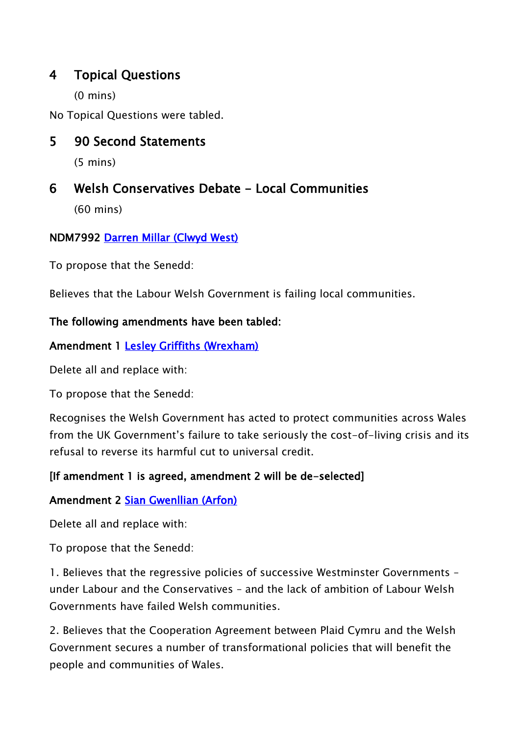## 4 Topical Questions

(0 mins)

No Topical Questions were tabled.

## 5 90 Second Statements

(5 mins)

# 6 Welsh Conservatives Debate - Local Communities

(60 mins)

### NDM7992 [Darren Millar \(Clwyd West\)](https://business.senedd.wales/mgUserInfo.aspx?UID=171)

To propose that the Senedd:

Believes that the Labour Welsh Government is failing local communities.

#### The following amendments have been tabled:

#### Amendment 1 [Lesley Griffiths \(Wrexham\)](https://senedd.wales/people/154)

Delete all and replace with:

To propose that the Senedd:

Recognises the Welsh Government has acted to protect communities across Wales from the UK Government's failure to take seriously the cost-of-living crisis and its refusal to reverse its harmful cut to universal credit.

#### [If amendment 1 is agreed, amendment 2 will be de-selected]

#### Amendment 2 [Sian Gwenllian \(Arfon\)](https://senedd.wales/people/4981)

Delete all and replace with:

To propose that the Senedd:

1. Believes that the regressive policies of successive Westminster Governments – under Labour and the Conservatives – and the lack of ambition of Labour Welsh Governments have failed Welsh communities.

2. Believes that the Cooperation Agreement between Plaid Cymru and the Welsh Government secures a number of transformational policies that will benefit the people and communities of Wales.